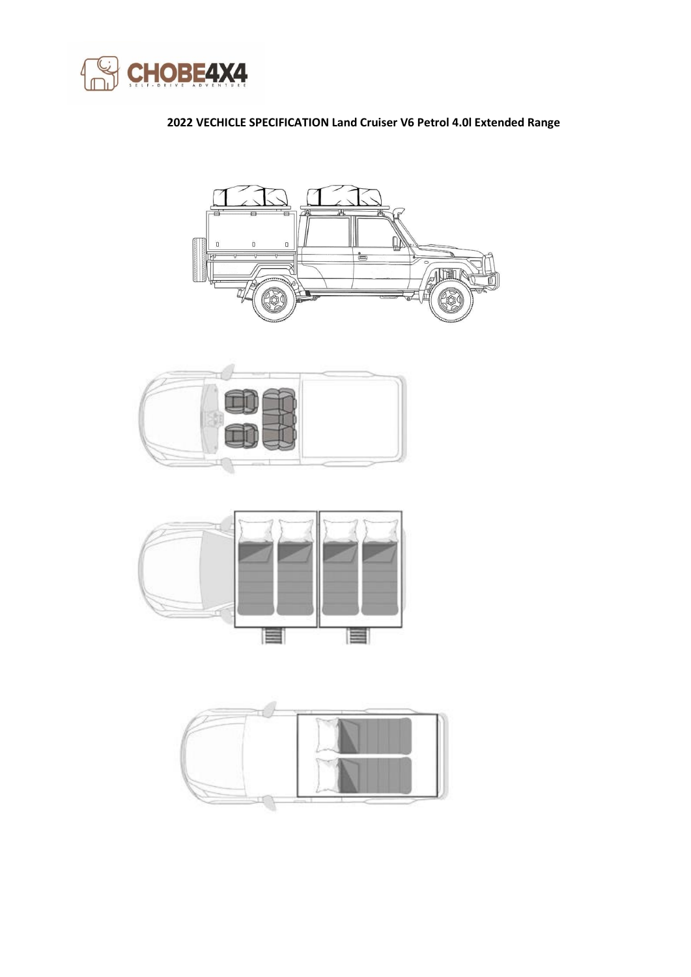

## **2022 VECHICLE SPECIFICATION Land Cruiser V6 Petrol 4.0l Extended Range**







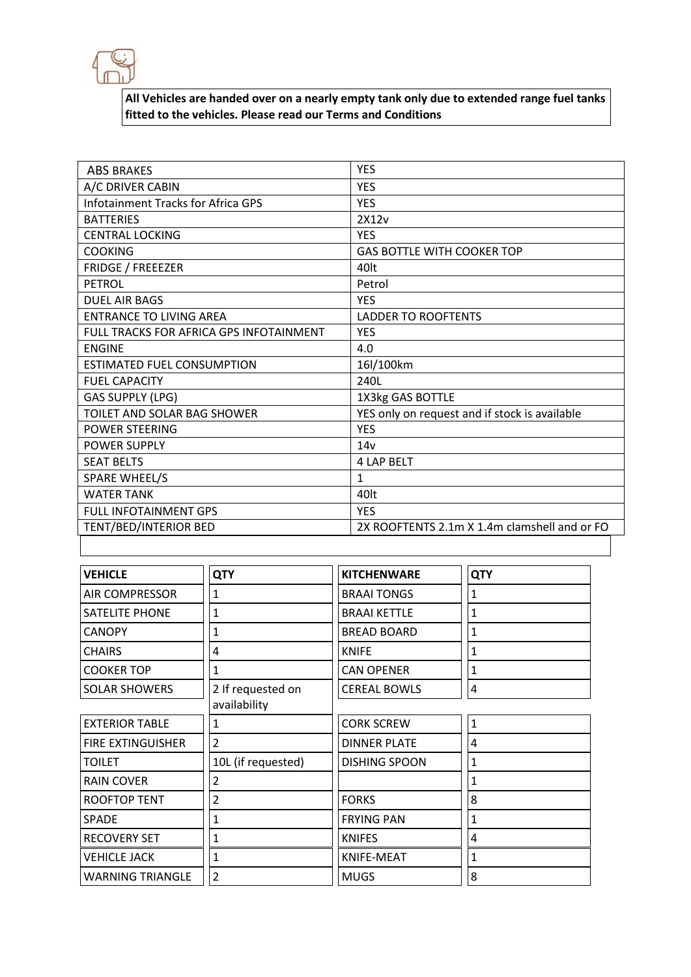

**All Vehicles are handed over on a nearly empty tank only due to extended range fuel tanks fitted to the vehicles. Please read our Terms and Conditions**

| <b>ABS BRAKES</b>                         | <b>YES</b>                                    |
|-------------------------------------------|-----------------------------------------------|
| A/C DRIVER CABIN                          | <b>YES</b>                                    |
| <b>Infotainment Tracks for Africa GPS</b> | <b>YES</b>                                    |
| <b>BATTERIES</b>                          | 2X12v                                         |
| <b>CENTRAL LOCKING</b>                    | <b>YES</b>                                    |
| <b>COOKING</b>                            | <b>GAS BOTTLE WITH COOKER TOP</b>             |
| <b>FRIDGE / FREEEZER</b>                  | 40 <sub>lt</sub>                              |
| PETROL                                    | Petrol                                        |
| <b>DUEL AIR BAGS</b>                      | <b>YES</b>                                    |
| <b>ENTRANCE TO LIVING AREA</b>            | <b>LADDER TO ROOFTENTS</b>                    |
| FULL TRACKS FOR AFRICA GPS INFOTAINMENT   | <b>YES</b>                                    |
| <b>ENGINE</b>                             | 4.0                                           |
| <b>ESTIMATED FUEL CONSUMPTION</b>         | 16l/100km                                     |
| <b>FUEL CAPACITY</b>                      | 240L                                          |
| <b>GAS SUPPLY (LPG)</b>                   | 1X3kg GAS BOTTLE                              |
| TOILET AND SOLAR BAG SHOWER               | YES only on request and if stock is available |
| <b>POWER STEERING</b>                     | <b>YES</b>                                    |
| <b>POWER SUPPLY</b>                       | 14v                                           |
| <b>SEAT BELTS</b>                         | <b>4 LAP BELT</b>                             |
| <b>SPARE WHEEL/S</b>                      | 1                                             |
| <b>WATER TANK</b>                         | 40lt                                          |
| <b>FULL INFOTAINMENT GPS</b>              | <b>YES</b>                                    |
| TENT/BED/INTERIOR BED                     | 2X ROOFTENTS 2.1m X 1.4m clamshell and or FO  |

| <b>VEHICLE</b>           | <b>QTY</b>         | <b>KITCHENWARE</b>   | <b>QTY</b>   |
|--------------------------|--------------------|----------------------|--------------|
| <b>AIR COMPRESSOR</b>    | 1                  | <b>BRAAI TONGS</b>   | 1            |
| <b>SATELITE PHONE</b>    | 1                  | <b>BRAAI KETTLE</b>  | 1            |
| <b>CANOPY</b>            | 1                  | <b>BREAD BOARD</b>   | 1            |
| <b>CHAIRS</b>            | 4                  | <b>KNIFE</b>         | 1            |
| <b>COOKER TOP</b>        | 1                  | <b>CAN OPENER</b>    | 1            |
| <b>SOLAR SHOWERS</b>     | 2 If requested on  | <b>CEREAL BOWLS</b>  | 4            |
|                          | availability       |                      |              |
| <b>EXTERIOR TABLE</b>    | 1                  | <b>CORK SCREW</b>    | $\mathbf{1}$ |
| <b>FIRE EXTINGUISHER</b> | $\overline{2}$     | <b>DINNER PLATE</b>  | 4            |
| <b>TOILET</b>            | 10L (if requested) | <b>DISHING SPOON</b> | 1            |
| <b>RAIN COVER</b>        | 2                  |                      | 1            |
| <b>ROOFTOP TENT</b>      | 2                  | <b>FORKS</b>         | 8            |
| <b>SPADE</b>             | 1                  | <b>FRYING PAN</b>    | 1            |
| <b>RECOVERY SET</b>      | 1                  | <b>KNIFES</b>        | 4            |
| <b>VEHICLE JACK</b>      | 1                  | KNIFE-MEAT           | 1            |
| <b>WARNING TRIANGLE</b>  | $\overline{2}$     | <b>MUGS</b>          | 8            |